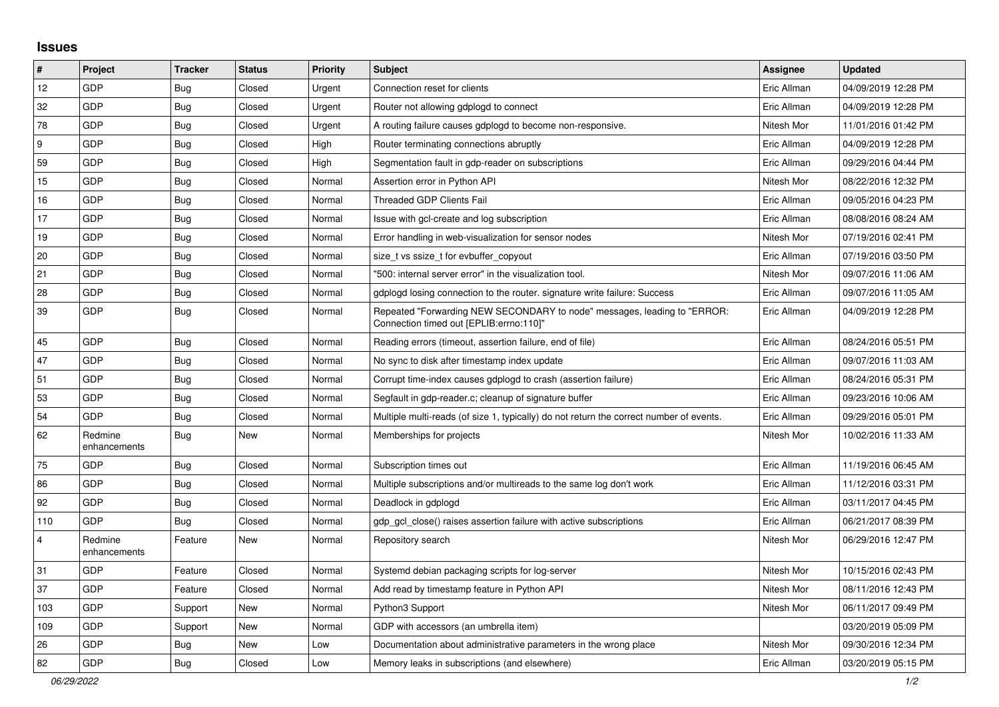## **Issues**

| $\pmb{\sharp}$          | Project                 | <b>Tracker</b> | <b>Status</b> | <b>Priority</b> | <b>Subject</b>                                                                                                      | Assignee    | <b>Updated</b>      |
|-------------------------|-------------------------|----------------|---------------|-----------------|---------------------------------------------------------------------------------------------------------------------|-------------|---------------------|
| 12                      | GDP                     | <b>Bug</b>     | Closed        | Urgent          | Connection reset for clients                                                                                        | Eric Allman | 04/09/2019 12:28 PM |
| 32                      | <b>GDP</b>              | <b>Bug</b>     | Closed        | Urgent          | Router not allowing gdplogd to connect                                                                              | Eric Allman | 04/09/2019 12:28 PM |
| 78                      | GDP                     | <b>Bug</b>     | Closed        | Urgent          | A routing failure causes gdplogd to become non-responsive.                                                          | Nitesh Mor  | 11/01/2016 01:42 PM |
| 9                       | GDP                     | Bug            | Closed        | High            | Router terminating connections abruptly                                                                             | Eric Allman | 04/09/2019 12:28 PM |
| 59                      | GDP                     | <b>Bug</b>     | Closed        | High            | Segmentation fault in gdp-reader on subscriptions                                                                   | Eric Allman | 09/29/2016 04:44 PM |
| 15                      | GDP                     | Bug            | Closed        | Normal          | Assertion error in Python API                                                                                       | Nitesh Mor  | 08/22/2016 12:32 PM |
| 16                      | GDP                     | <b>Bug</b>     | Closed        | Normal          | <b>Threaded GDP Clients Fail</b>                                                                                    | Eric Allman | 09/05/2016 04:23 PM |
| 17                      | <b>GDP</b>              | <b>Bug</b>     | Closed        | Normal          | Issue with gcl-create and log subscription                                                                          | Eric Allman | 08/08/2016 08:24 AM |
| 19                      | GDP                     | <b>Bug</b>     | Closed        | Normal          | Error handling in web-visualization for sensor nodes                                                                | Nitesh Mor  | 07/19/2016 02:41 PM |
| 20                      | GDP                     | <b>Bug</b>     | Closed        | Normal          | size_t vs ssize_t for evbuffer_copyout                                                                              | Eric Allman | 07/19/2016 03:50 PM |
| 21                      | GDP                     | <b>Bug</b>     | Closed        | Normal          | '500: internal server error" in the visualization tool.                                                             | Nitesh Mor  | 09/07/2016 11:06 AM |
| 28                      | <b>GDP</b>              | <b>Bug</b>     | Closed        | Normal          | gdplogd losing connection to the router. signature write failure: Success                                           | Eric Allman | 09/07/2016 11:05 AM |
| 39                      | GDP                     | <b>Bug</b>     | Closed        | Normal          | Repeated "Forwarding NEW SECONDARY to node" messages, leading to "ERROR:<br>Connection timed out [EPLIB:errno:110]" | Eric Allman | 04/09/2019 12:28 PM |
| 45                      | GDP                     | <b>Bug</b>     | Closed        | Normal          | Reading errors (timeout, assertion failure, end of file)                                                            | Eric Allman | 08/24/2016 05:51 PM |
| 47                      | GDP                     | <b>Bug</b>     | Closed        | Normal          | No sync to disk after timestamp index update                                                                        | Eric Allman | 09/07/2016 11:03 AM |
| 51                      | GDP                     | Bug            | Closed        | Normal          | Corrupt time-index causes gdplogd to crash (assertion failure)                                                      | Eric Allman | 08/24/2016 05:31 PM |
| 53                      | GDP                     | <b>Bug</b>     | Closed        | Normal          | Segfault in gdp-reader.c; cleanup of signature buffer                                                               | Eric Allman | 09/23/2016 10:06 AM |
| 54                      | <b>GDP</b>              | <b>Bug</b>     | Closed        | Normal          | Multiple multi-reads (of size 1, typically) do not return the correct number of events.                             | Eric Allman | 09/29/2016 05:01 PM |
| 62                      | Redmine<br>enhancements | <b>Bug</b>     | New           | Normal          | Memberships for projects                                                                                            | Nitesh Mor  | 10/02/2016 11:33 AM |
| 75                      | GDP                     | <b>Bug</b>     | Closed        | Normal          | Subscription times out                                                                                              | Eric Allman | 11/19/2016 06:45 AM |
| 86                      | <b>GDP</b>              | <b>Bug</b>     | Closed        | Normal          | Multiple subscriptions and/or multireads to the same log don't work                                                 | Eric Allman | 11/12/2016 03:31 PM |
| 92                      | GDP                     | <b>Bug</b>     | Closed        | Normal          | Deadlock in gdplogd                                                                                                 | Eric Allman | 03/11/2017 04:45 PM |
| 110                     | <b>GDP</b>              | <b>Bug</b>     | Closed        | Normal          | gdp gcl close() raises assertion failure with active subscriptions                                                  | Eric Allman | 06/21/2017 08:39 PM |
| $\overline{\mathbf{4}}$ | Redmine<br>enhancements | Feature        | New           | Normal          | Repository search                                                                                                   | Nitesh Mor  | 06/29/2016 12:47 PM |
| 31                      | GDP                     | Feature        | Closed        | Normal          | Systemd debian packaging scripts for log-server                                                                     | Nitesh Mor  | 10/15/2016 02:43 PM |
| 37                      | GDP                     | Feature        | Closed        | Normal          | Add read by timestamp feature in Python API                                                                         | Nitesh Mor  | 08/11/2016 12:43 PM |
| 103                     | GDP                     | Support        | New           | Normal          | Python3 Support                                                                                                     | Nitesh Mor  | 06/11/2017 09:49 PM |
| 109                     | GDP                     | Support        | <b>New</b>    | Normal          | GDP with accessors (an umbrella item)                                                                               |             | 03/20/2019 05:09 PM |
| 26                      | GDP                     | <b>Bug</b>     | New           | Low             | Documentation about administrative parameters in the wrong place                                                    | Nitesh Mor  | 09/30/2016 12:34 PM |
| 82                      | GDP                     | Bug            | Closed        | Low             | Memory leaks in subscriptions (and elsewhere)                                                                       | Eric Allman | 03/20/2019 05:15 PM |